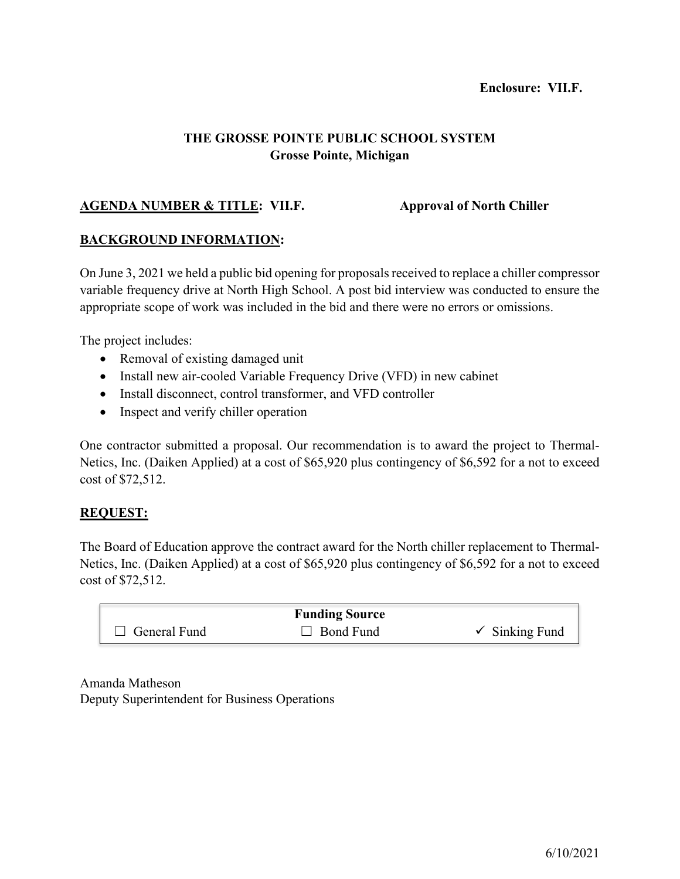# **Enclosure: VII.F.**

# **THE GROSSE POINTE PUBLIC SCHOOL SYSTEM Grosse Pointe, Michigan**

# **AGENDA NUMBER & TITLE: VII.F. Approval of North Chiller**

### **BACKGROUND INFORMATION:**

On June 3, 2021 we held a public bid opening for proposals received to replace a chiller compressor variable frequency drive at North High School. A post bid interview was conducted to ensure the appropriate scope of work was included in the bid and there were no errors or omissions.

The project includes:

- Removal of existing damaged unit
- Install new air-cooled Variable Frequency Drive (VFD) in new cabinet
- Install disconnect, control transformer, and VFD controller
- Inspect and verify chiller operation

One contractor submitted a proposal. Our recommendation is to award the project to Thermal-Netics, Inc. (Daiken Applied) at a cost of \$65,920 plus contingency of \$6,592 for a not to exceed cost of \$72,512.

### **REQUEST:**

The Board of Education approve the contract award for the North chiller replacement to Thermal-Netics, Inc. (Daiken Applied) at a cost of \$65,920 plus contingency of \$6,592 for a not to exceed cost of \$72,512.

| <b>Funding Source</b> |                  |                           |  |  |  |  |  |  |
|-----------------------|------------------|---------------------------|--|--|--|--|--|--|
| $\Box$ General Fund   | $\Box$ Bond Fund | $\checkmark$ Sinking Fund |  |  |  |  |  |  |

Amanda Matheson Deputy Superintendent for Business Operations